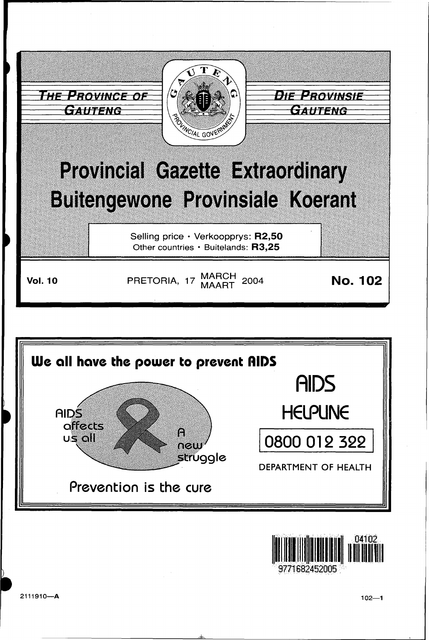





2111910-A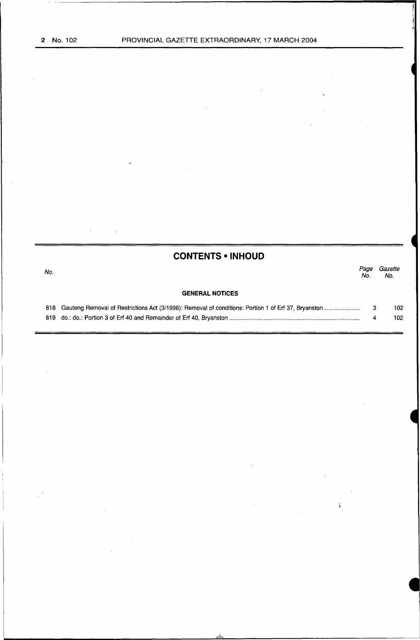# **CONTENTS • INHOUD**

| No. |                        | Page<br>No | Gazette<br>No. |
|-----|------------------------|------------|----------------|
|     | <b>GENERAL NOTICES</b> |            |                |
|     |                        |            | 102            |
|     |                        |            | 102            |
|     |                        |            |                |

į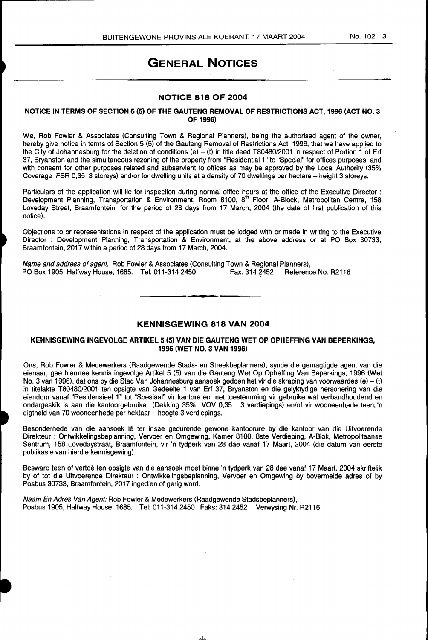**r--------------------------------------------------**----

# **GENERAL NOTICES**

#### **NOTICE 818 OF 2004**

#### **NOTICE IN TERMS OF SECTION·5 (5) OF THE GAUTENG REMOVAL OF RESTRICTIONS ACT, 1996 (ACT NO.3 OF 1996)**

We, Rob Fowler & Associates (Consulting Town & Regional Planners), being the authorised agent of the owner, hereby give notice in terms of Section 5 (5) of the Gauteng Removal of Restrictions Act, 1996, that we have applied to the City of Johannesburg for the deletion of conditions (e) – (t) in title deed T80480/2001 in respect of Portion 1 of Erf 37, Bryanston and the simultaneous rezoning of the property from "Residential1" to "Special" tor offices purposes and with consent tor other purposes related and subservient to offices as may be approved by the Local Authority (35% Coverage FSR 0,35 3 storeys) and/or tor dwelling units at a density of 70 dwellings per hectare- height 3 storeys.

Particulars of the application will lie for inspection during normal office hours at the office of the Executive Director : Development Planning, Transportation & Environment, Room 8100, 8<sup>th</sup> Floor, A-Block, Metropolitan Centre, 158 Loveday Street, Braamfontein, for the period of 28 days from 17 March, 2004 (the date of first publication of this notice).

Objections to or representations in respect of the application must be lodged with or made in writing to the Executive Director : Development Planning, Transportation & Environment, at the above address or at PO Box 30733, Braamfontein, 2017 within a period of 28 days from 17 March, 2004.

Name and address of agent. Rob Fowler & Associates (Consulting Town & Regional Planners),<br>PO Box 1905. Halfway House. 1685. Tel. 011-314 2450 Fax. 314 2452 Reference No. R2116 PO Box 1905, Halfway House, 1685. Tel. 011-314 2450

#### **KENNISGEWING 818 VAN 2004**

#### **KENNISGEWING INGEVOLGE ARTIKEL 5 (5) VAN' DIE GAUTENG WET OP OPHEFFING VAN BEPERKINGS, 1996 (WET NO. 3 VAN 1996)**

Ons, Rob Fowler & Medewerkers (Raadgewende Stads- en Streekbeplanners), synde die gemagtigde agent van die eienaar, gee hiermee kennis ingevolge Artikel 5 (5) van die Gauteng Wet Op Opheffing Van Beperkings, 1996 (Wet No. 3 van 1996), dat ons by die Stad Van Johannesburg aansoek gedoen het vir die skraping van voorwaardes (e)- (t) in titelakte T80480/2001 ten opsigte van Gedeelte 1 van Erf 37, Bryanston en die gelyktydige hersonering van die eiendom vanaf "Residensieel 1" tot "Spesiaal" vir kantore en met toestemming vir gebruike wat verbandhoudend en ondergeskik is aan die kantoorgebruike (Dekking 35% VOV 0,35 3 verdiepings) en/of vir wooneenhede teen. 'n digtheid van 70 wooneenhede per hektaar - hoogte 3 verdiepings.

Besonderhede van die aansoek lê ter insae gedurende gewone kantoorure by die kantoor van die Uitvoerende Direkteur : Ontwikkelingsbeplanning, Vervoer en Omgewing, Kamer 8100, 8ste Verdieping, A-Biok, Metropolitaanse Sentrum, 158 Lovedaystraat, Braamfontein, vir 'n tydperk van 28 dae vanaf 17 Maart, 2004 (die datum van eerste publikasie van hierdie kennisgewing).

Besware teen of vertoë ten opsigte van die aansoek moet binne 'n tydperk van 28 dae vanaf 17 Maart, 2004 skriftelik by of tot die Uitvoerende Direkteur : Ontwikkelingsbeplanning, Vervoer en Omgewing by bovermelde adres of by Posbus 30733, Braamtontein, 2017 ingedien of gerig word.

Naam En Adres Van Agent: Rob Fowler & Medewerkers (Raadgewende Stadsbeplanners), Posbus 1905, Halfway House, 1685. Tel: 011-314 2450 Faks: 314 2452 Verwysing Nr. R2116